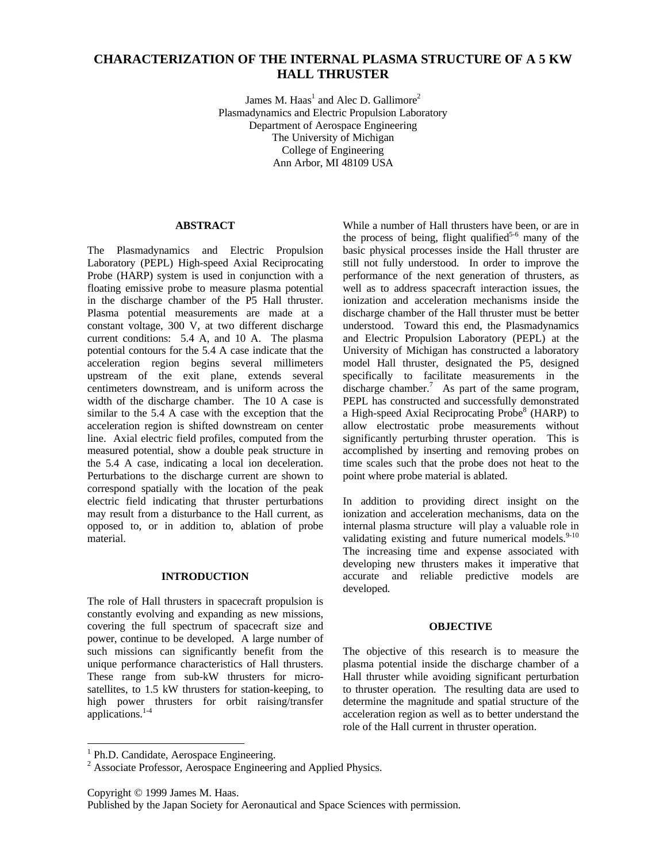# **CHARACTERIZATION OF THE INTERNAL PLASMA STRUCTURE OF A 5 KW HALL THRUSTER**

James M. Haas $^1$  and Alec D. Gallimore<sup>2</sup> Plasmadynamics and Electric Propulsion Laboratory Department of Aerospace Engineering The University of Michigan College of Engineering Ann Arbor, MI 48109 USA

#### **ABSTRACT**

The Plasmadynamics and Electric Propulsion Laboratory (PEPL) High-speed Axial Reciprocating Probe (HARP) system is used in conjunction with a floating emissive probe to measure plasma potential in the discharge chamber of the P5 Hall thruster. Plasma potential measurements are made at a constant voltage, 300 V, at two different discharge current conditions: 5.4 A, and 10 A. The plasma potential contours for the 5.4 A case indicate that the acceleration region begins several millimeters upstream of the exit plane, extends several centimeters downstream, and is uniform across the width of the discharge chamber. The 10 A case is similar to the 5.4 A case with the exception that the acceleration region is shifted downstream on center line. Axial electric field profiles, computed from the measured potential, show a double peak structure in the 5.4 A case, indicating a local ion deceleration. Perturbations to the discharge current are shown to correspond spatially with the location of the peak electric field indicating that thruster perturbations may result from a disturbance to the Hall current, as opposed to, or in addition to, ablation of probe material.

# **INTRODUCTION**

The role of Hall thrusters in spacecraft propulsion is constantly evolving and expanding as new missions, covering the full spectrum of spacecraft size and power, continue to be developed. A large number of such missions can significantly benefit from the unique performance characteristics of Hall thrusters. These range from sub-kW thrusters for microsatellites, to 1.5 kW thrusters for station-keeping, to high power thrusters for orbit raising/transfer applications.<sup>1-4</sup>

While a number of Hall thrusters have been, or are in the process of being, flight qualified<sup>5-6</sup> many of the basic physical processes inside the Hall thruster are still not fully understood. In order to improve the performance of the next generation of thrusters, as well as to address spacecraft interaction issues, the ionization and acceleration mechanisms inside the discharge chamber of the Hall thruster must be better understood. Toward this end, the Plasmadynamics and Electric Propulsion Laboratory (PEPL) at the University of Michigan has constructed a laboratory model Hall thruster, designated the P5, designed specifically to facilitate measurements in the discharge chamber.<sup>7</sup> As part of the same program, PEPL has constructed and successfully demonstrated a High-speed Axial Reciprocating Probe<sup>8</sup> (HARP) to allow electrostatic probe measurements without significantly perturbing thruster operation. This is accomplished by inserting and removing probes on time scales such that the probe does not heat to the point where probe material is ablated.

In addition to providing direct insight on the ionization and acceleration mechanisms, data on the internal plasma structure will play a valuable role in validating existing and future numerical models.<sup>9-10</sup> The increasing time and expense associated with developing new thrusters makes it imperative that accurate and reliable predictive models are developed.

#### **OBJECTIVE**

The objective of this research is to measure the plasma potential inside the discharge chamber of a Hall thruster while avoiding significant perturbation to thruster operation. The resulting data are used to determine the magnitude and spatial structure of the acceleration region as well as to better understand the role of the Hall current in thruster operation.

 1 Ph.D. Candidate, Aerospace Engineering.

<sup>&</sup>lt;sup>2</sup> Associate Professor, Aerospace Engineering and Applied Physics.

Copyright © 1999 James M. Haas.

Published by the Japan Society for Aeronautical and Space Sciences with permission.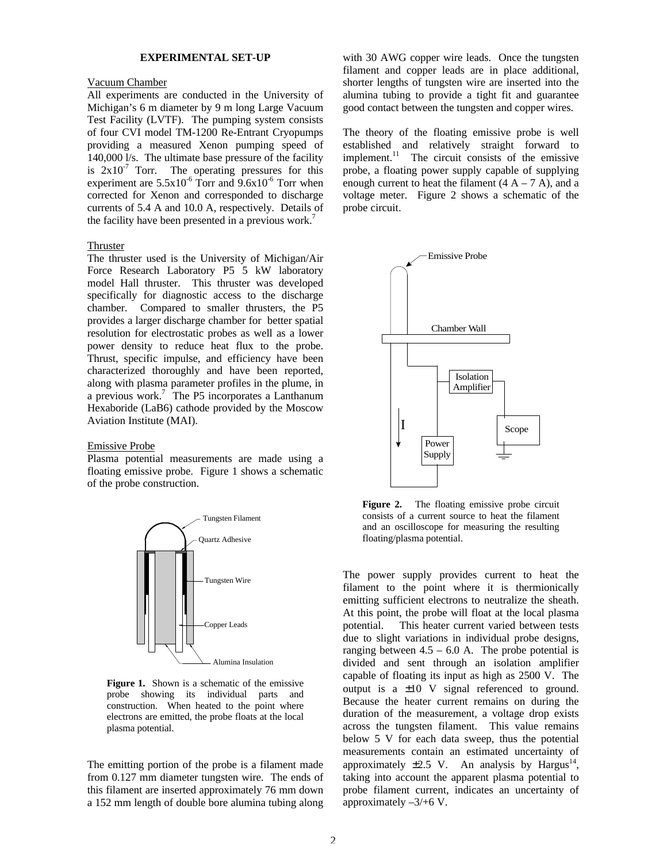# **EXPERIMENTAL SET-UP**

#### Vacuum Chamber

All experiments are conducted in the University of Michigan's 6 m diameter by 9 m long Large Vacuum Test Facility (LVTF). The pumping system consists of four CVI model TM-1200 Re-Entrant Cryopumps providing a measured Xenon pumping speed of 140,000 l/s. The ultimate base pressure of the facility is  $2x10^{-7}$  Torr. The operating pressures for this experiment are  $5.5x10^{-6}$  Torr and  $9.6x10^{-6}$  Torr when corrected for Xenon and corresponded to discharge currents of 5.4 A and 10.0 A, respectively. Details of the facility have been presented in a previous work.<sup>7</sup>

# Thruster

The thruster used is the University of Michigan/Air Force Research Laboratory P5 5 kW laboratory model Hall thruster. This thruster was developed specifically for diagnostic access to the discharge chamber. Compared to smaller thrusters, the P5 provides a larger discharge chamber for better spatial resolution for electrostatic probes as well as a lower power density to reduce heat flux to the probe. Thrust, specific impulse, and efficiency have been characterized thoroughly and have been reported, along with plasma parameter profiles in the plume, in a previous work.<sup>7</sup> The P5 incorporates a Lanthanum Hexaboride (LaB6) cathode provided by the Moscow Aviation Institute (MAI).

#### Emissive Probe

Plasma potential measurements are made using a floating emissive probe. Figure 1 shows a schematic of the probe construction.



**Figure 1.** Shown is a schematic of the emissive probe showing its individual parts and construction. When heated to the point where electrons are emitted, the probe floats at the local plasma potential.

The emitting portion of the probe is a filament made from 0.127 mm diameter tungsten wire. The ends of this filament are inserted approximately 76 mm down a 152 mm length of double bore alumina tubing along

with 30 AWG copper wire leads. Once the tungsten filament and copper leads are in place additional, shorter lengths of tungsten wire are inserted into the alumina tubing to provide a tight fit and guarantee good contact between the tungsten and copper wires.

The theory of the floating emissive probe is well established and relatively straight forward to implement.<sup>11</sup> The circuit consists of the emissive probe, a floating power supply capable of supplying enough current to heat the filament  $(4 A - 7 A)$ , and a voltage meter. Figure 2 shows a schematic of the probe circuit.



Figure 2. The floating emissive probe circuit consists of a current source to heat the filament and an oscilloscope for measuring the resulting floating/plasma potential.

The power supply provides current to heat the filament to the point where it is thermionically emitting sufficient electrons to neutralize the sheath. At this point, the probe will float at the local plasma potential. This heater current varied between tests due to slight variations in individual probe designs, ranging between  $4.5 - 6.0$  A. The probe potential is divided and sent through an isolation amplifier capable of floating its input as high as 2500 V. The output is a ±10 V signal referenced to ground. Because the heater current remains on during the duration of the measurement, a voltage drop exists across the tungsten filament. This value remains below 5 V for each data sweep, thus the potential measurements contain an estimated uncertainty of approximately  $\pm 2.5$  V. An analysis by Hargus<sup>14</sup>, taking into account the apparent plasma potential to probe filament current, indicates an uncertainty of approximately –3/+6 V.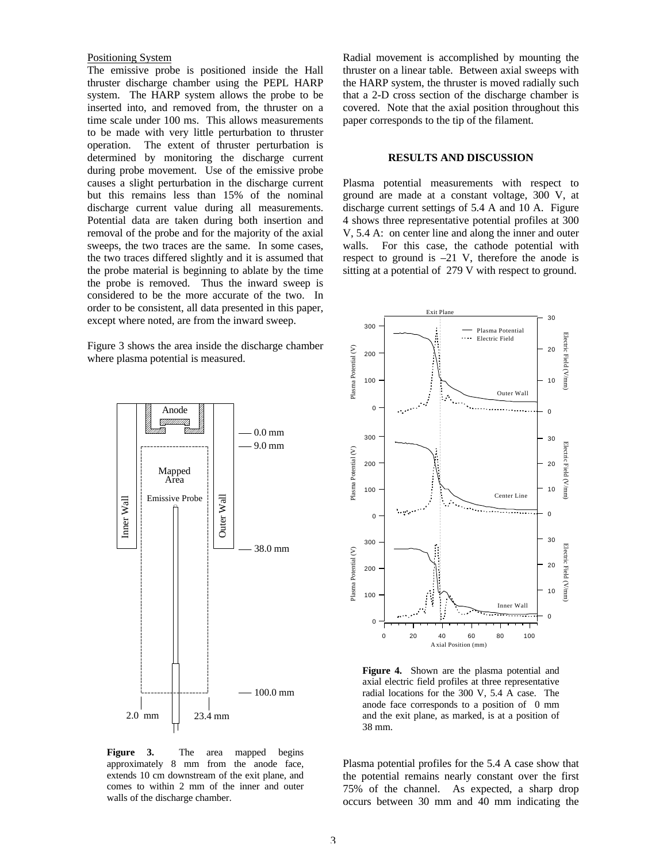#### Positioning System

The emissive probe is positioned inside the Hall thruster discharge chamber using the PEPL HARP system. The HARP system allows the probe to be inserted into, and removed from, the thruster on a time scale under 100 ms. This allows measurements to be made with very little perturbation to thruster operation. The extent of thruster perturbation is determined by monitoring the discharge current during probe movement. Use of the emissive probe causes a slight perturbation in the discharge current but this remains less than 15% of the nominal discharge current value during all measurements. Potential data are taken during both insertion and removal of the probe and for the majority of the axial sweeps, the two traces are the same. In some cases, the two traces differed slightly and it is assumed that the probe material is beginning to ablate by the time the probe is removed. Thus the inward sweep is considered to be the more accurate of the two. In order to be consistent, all data presented in this paper, except where noted, are from the inward sweep.

Figure 3 shows the area inside the discharge chamber where plasma potential is measured.



**Figure 3.** The area mapped begins approximately 8 mm from the anode face, extends 10 cm downstream of the exit plane, and comes to within 2 mm of the inner and outer walls of the discharge chamber.

Radial movement is accomplished by mounting the thruster on a linear table. Between axial sweeps with the HARP system, the thruster is moved radially such that a 2-D cross section of the discharge chamber is covered. Note that the axial position throughout this paper corresponds to the tip of the filament.

#### **RESULTS AND DISCUSSION**

Plasma potential measurements with respect to ground are made at a constant voltage, 300 V, at discharge current settings of 5.4 A and 10 A. Figure 4 shows three representative potential profiles at 300 V, 5.4 A: on center line and along the inner and outer walls. For this case, the cathode potential with respect to ground is  $-21$  V, therefore the anode is sitting at a potential of 279 V with respect to ground.



**Figure 4.** Shown are the plasma potential and axial electric field profiles at three representative radial locations for the 300 V, 5.4 A case. The anode face corresponds to a position of 0 mm and the exit plane, as marked, is at a position of 38 mm.

Plasma potential profiles for the 5.4 A case show that the potential remains nearly constant over the first 75% of the channel. As expected, a sharp drop occurs between 30 mm and 40 mm indicating the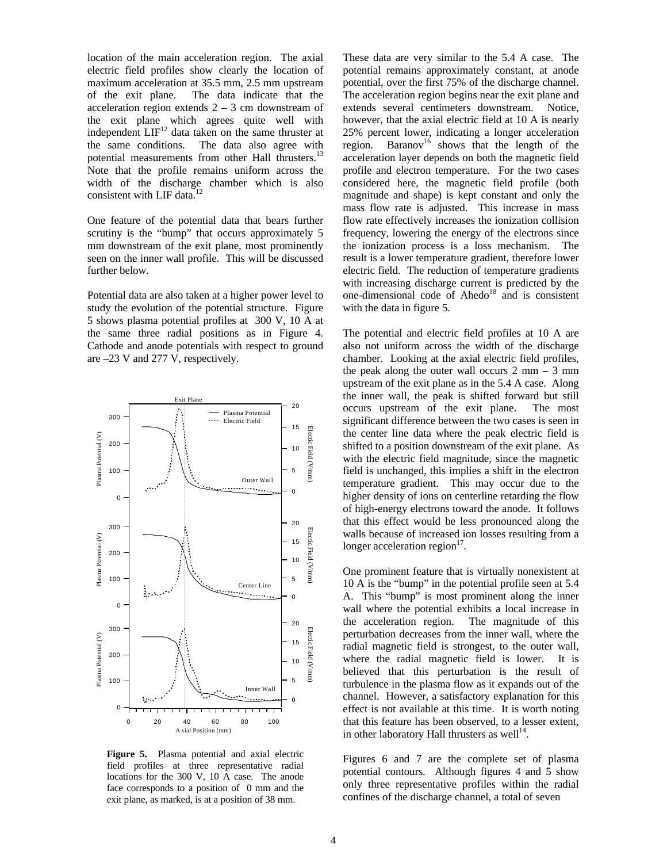location of the main acceleration region. The axial electric field profiles show clearly the location of maximum acceleration at 35.5 mm, 2.5 mm upstream of the exit plane. The data indicate that the acceleration region extends  $2 - 3$  cm downstream of the exit plane which agrees quite well with independent  $LIF<sup>12</sup>$  data taken on the same thruster at the same conditions. The data also agree with potential measurements from other Hall thrusters.<sup>13</sup> Note that the profile remains uniform across the width of the discharge chamber which is also consistent with LIF data.<sup>12</sup>

One feature of the potential data that bears further scrutiny is the "bump" that occurs approximately 5 mm downstream of the exit plane, most prominently seen on the inner wall profile. This will be discussed further below.

Potential data are also taken at a higher power level to study the evolution of the potential structure. Figure 5 shows plasma potential profiles at 300 V, 10 A at the same three radial positions as in Figure 4. Cathode and anode potentials with respect to ground are –23 V and 277 V, respectively.



**Figure 5.** Plasma potential and axial electric field profiles at three representative radial locations for the 300 V, 10 A case. The anode face corresponds to a position of 0 mm and the exit plane, as marked, is at a position of 38 mm.

These data are very similar to the 5.4 A case. The potential remains approximately constant, at anode potential, over the first 75% of the discharge channel. The acceleration region begins near the exit plane and extends several centimeters downstream. Notice, however, that the axial electric field at 10 A is nearly 25% percent lower, indicating a longer acceleration region. Baranov<sup>16</sup> shows that the length of the acceleration layer depends on both the magnetic field profile and electron temperature. For the two cases considered here, the magnetic field profile (both magnitude and shape) is kept constant and only the mass flow rate is adjusted. This increase in mass flow rate effectively increases the ionization collision frequency, lowering the energy of the electrons since the ionization process is a loss mechanism. The result is a lower temperature gradient, therefore lower electric field. The reduction of temperature gradients with increasing discharge current is predicted by the one-dimensional code of Ahedo<sup>18</sup> and is consistent with the data in figure 5.

The potential and electric field profiles at 10 A are also not uniform across the width of the discharge chamber. Looking at the axial electric field profiles, the peak along the outer wall occurs  $2 \text{ mm} - 3 \text{ mm}$ upstream of the exit plane as in the 5.4 A case. Along the inner wall, the peak is shifted forward but still occurs upstream of the exit plane. The most significant difference between the two cases is seen in the center line data where the peak electric field is shifted to a position downstream of the exit plane. As with the electric field magnitude, since the magnetic field is unchanged, this implies a shift in the electron temperature gradient. This may occur due to the higher density of ions on centerline retarding the flow of high-energy electrons toward the anode. It follows that this effect would be less pronounced along the walls because of increased ion losses resulting from a longer acceleration region $17$ .

One prominent feature that is virtually nonexistent at 10 A is the "bump" in the potential profile seen at 5.4 A. This "bump" is most prominent along the inner wall where the potential exhibits a local increase in the acceleration region. The magnitude of this perturbation decreases from the inner wall, where the radial magnetic field is strongest, to the outer wall, where the radial magnetic field is lower. It is believed that this perturbation is the result of turbulence in the plasma flow as it expands out of the channel. However, a satisfactory explanation for this effect is not available at this time. It is worth noting that this feature has been observed, to a lesser extent, in other laboratory Hall thrusters as well $14$ .

Figures 6 and 7 are the complete set of plasma potential contours. Although figures 4 and 5 show only three representative profiles within the radial confines of the discharge channel, a total of seven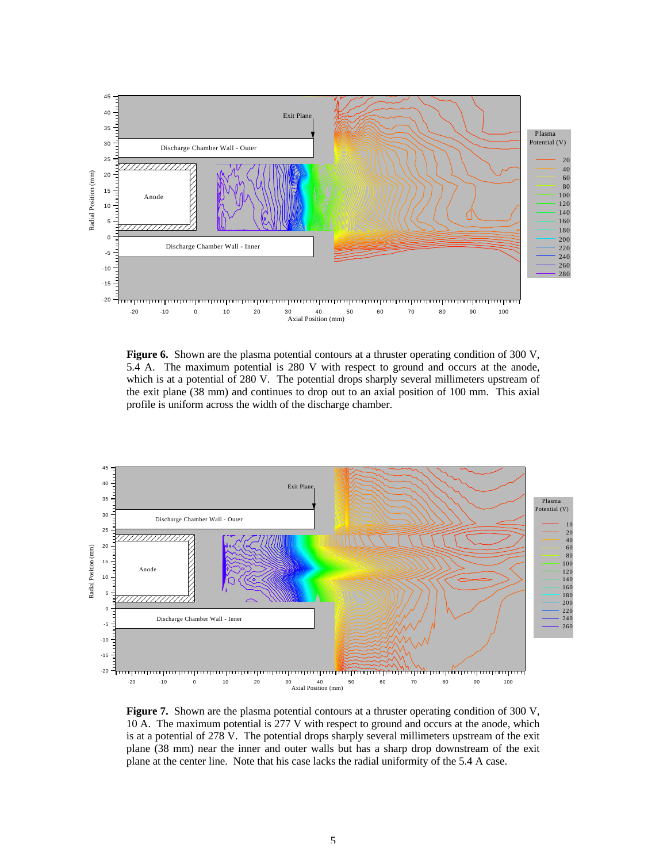

**Figure 6.** Shown are the plasma potential contours at a thruster operating condition of 300 V, 5.4 A. The maximum potential is 280 V with respect to ground and occurs at the anode, which is at a potential of 280 V. The potential drops sharply several millimeters upstream of the exit plane (38 mm) and continues to drop out to an axial position of 100 mm. This axial profile is uniform across the width of the discharge chamber.



Figure 7. Shown are the plasma potential contours at a thruster operating condition of 300 V, 10 A. The maximum potential is 277 V with respect to ground and occurs at the anode, which is at a potential of 278 V. The potential drops sharply several millimeters upstream of the exit plane (38 mm) near the inner and outer walls but has a sharp drop downstream of the exit plane at the center line. Note that his case lacks the radial uniformity of the 5.4 A case.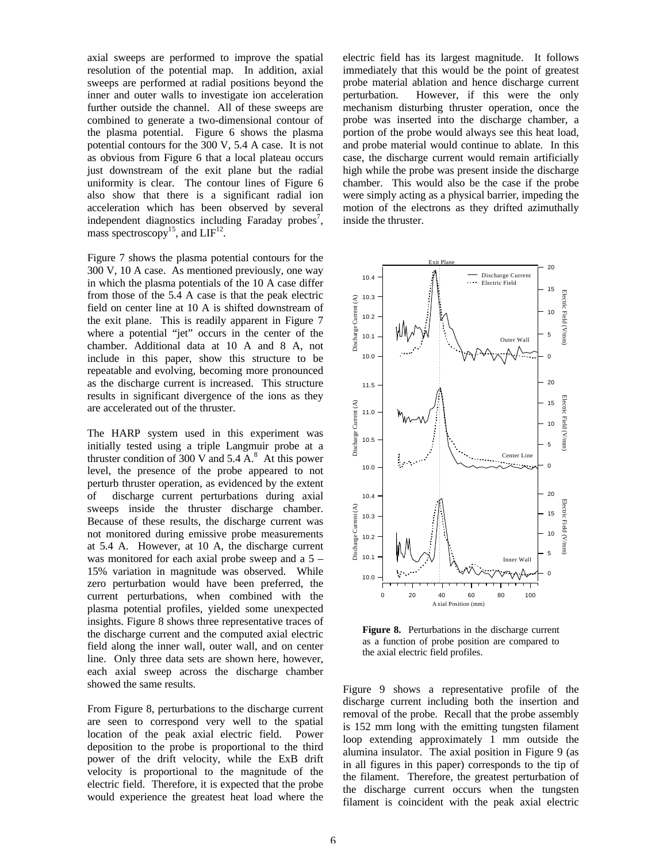axial sweeps are performed to improve the spatial resolution of the potential map. In addition, axial sweeps are performed at radial positions beyond the inner and outer walls to investigate ion acceleration further outside the channel. All of these sweeps are combined to generate a two-dimensional contour of the plasma potential. Figure 6 shows the plasma potential contours for the 300 V, 5.4 A case. It is not as obvious from Figure 6 that a local plateau occurs just downstream of the exit plane but the radial uniformity is clear. The contour lines of Figure 6 also show that there is a significant radial ion acceleration which has been observed by several independent diagnostics including Faraday probes<sup>7</sup>, mass spectroscopy<sup>15</sup>, and  $LIF<sup>12</sup>$ .

Figure 7 shows the plasma potential contours for the 300 V, 10 A case. As mentioned previously, one way in which the plasma potentials of the 10 A case differ from those of the 5.4 A case is that the peak electric field on center line at 10 A is shifted downstream of the exit plane. This is readily apparent in Figure 7 where a potential "jet" occurs in the center of the chamber. Additional data at 10 A and 8 A, not include in this paper, show this structure to be repeatable and evolving, becoming more pronounced as the discharge current is increased. This structure results in significant divergence of the ions as they are accelerated out of the thruster.

The HARP system used in this experiment was initially tested using a triple Langmuir probe at a thruster condition of 300 V and  $5.4 \text{ A}$ .<sup>8</sup> At this power level, the presence of the probe appeared to not perturb thruster operation, as evidenced by the extent of discharge current perturbations during axial sweeps inside the thruster discharge chamber. Because of these results, the discharge current was not monitored during emissive probe measurements at 5.4 A. However, at 10 A, the discharge current was monitored for each axial probe sweep and a 5 – 15% variation in magnitude was observed. While zero perturbation would have been preferred, the current perturbations, when combined with the plasma potential profiles, yielded some unexpected insights. Figure 8 shows three representative traces of the discharge current and the computed axial electric field along the inner wall, outer wall, and on center line. Only three data sets are shown here, however, each axial sweep across the discharge chamber showed the same results.

From Figure 8, perturbations to the discharge current are seen to correspond very well to the spatial location of the peak axial electric field. Power deposition to the probe is proportional to the third power of the drift velocity, while the ExB drift velocity is proportional to the magnitude of the electric field. Therefore, it is expected that the probe would experience the greatest heat load where the

electric field has its largest magnitude. It follows immediately that this would be the point of greatest probe material ablation and hence discharge current perturbation. However, if this were the only mechanism disturbing thruster operation, once the probe was inserted into the discharge chamber, a portion of the probe would always see this heat load, and probe material would continue to ablate. In this case, the discharge current would remain artificially high while the probe was present inside the discharge chamber. This would also be the case if the probe were simply acting as a physical barrier, impeding the motion of the electrons as they drifted azimuthally inside the thruster.



**Figure 8.** Perturbations in the discharge current as a function of probe position are compared to the axial electric field profiles.

Figure 9 shows a representative profile of the discharge current including both the insertion and removal of the probe. Recall that the probe assembly is 152 mm long with the emitting tungsten filament loop extending approximately 1 mm outside the alumina insulator. The axial position in Figure 9 (as in all figures in this paper) corresponds to the tip of the filament. Therefore, the greatest perturbation of the discharge current occurs when the tungsten filament is coincident with the peak axial electric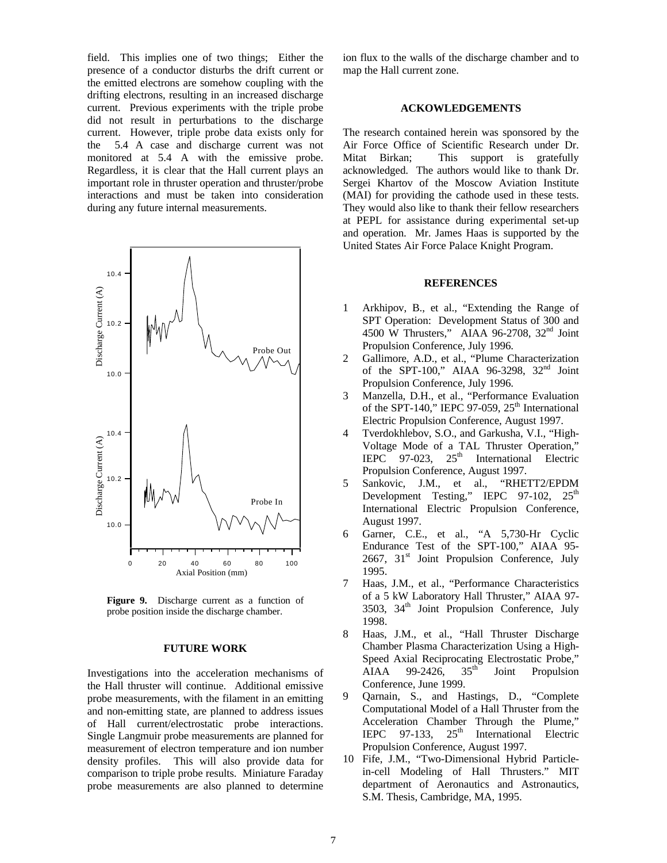field. This implies one of two things; Either the presence of a conductor disturbs the drift current or the emitted electrons are somehow coupling with the drifting electrons, resulting in an increased discharge current. Previous experiments with the triple probe did not result in perturbations to the discharge current. However, triple probe data exists only for the 5.4 A case and discharge current was not monitored at 5.4 A with the emissive probe. Regardless, it is clear that the Hall current plays an important role in thruster operation and thruster/probe interactions and must be taken into consideration during any future internal measurements.



**Figure 9.** Discharge current as a function of probe position inside the discharge chamber.

# **FUTURE WORK**

Investigations into the acceleration mechanisms of the Hall thruster will continue. Additional emissive probe measurements, with the filament in an emitting and non-emitting state, are planned to address issues of Hall current/electrostatic probe interactions. Single Langmuir probe measurements are planned for measurement of electron temperature and ion number density profiles. This will also provide data for comparison to triple probe results. Miniature Faraday probe measurements are also planned to determine ion flux to the walls of the discharge chamber and to map the Hall current zone.

### **ACKOWLEDGEMENTS**

The research contained herein was sponsored by the Air Force Office of Scientific Research under Dr. Mitat Birkan; This support is gratefully acknowledged. The authors would like to thank Dr. Sergei Khartov of the Moscow Aviation Institute (MAI) for providing the cathode used in these tests. They would also like to thank their fellow researchers at PEPL for assistance during experimental set-up and operation. Mr. James Haas is supported by the United States Air Force Palace Knight Program.

#### **REFERENCES**

- 1 Arkhipov, B., et al., "Extending the Range of SPT Operation: Development Status of 300 and 4500 W Thrusters," AIAA 96-2708, 32nd Joint Propulsion Conference, July 1996.
- 2 Gallimore, A.D., et al., "Plume Characterization of the SPT-100," AIAA 96-3298,  $32<sup>nd</sup>$  Joint Propulsion Conference, July 1996.
- 3 Manzella, D.H., et al., "Performance Evaluation of the SPT-140," IEPC 97-059,  $25<sup>th</sup>$  International Electric Propulsion Conference, August 1997.
- 4 Tverdokhlebov, S.O., and Garkusha, V.I., "High-Voltage Mode of a TAL Thruster Operation," IEPC 97-023,  $25<sup>th</sup>$  International Electric Propulsion Conference, August 1997.
- 5 Sankovic, J.M., et al., "RHETT2/EPDM Development Testing," IEPC 97-102, 25<sup>th</sup> International Electric Propulsion Conference, August 1997.
- 6 Garner, C.E., et al., "A 5,730-Hr Cyclic Endurance Test of the SPT-100," AIAA 95-  $2667$ ,  $31<sup>st</sup>$  Joint Propulsion Conference, July 1995.
- 7 Haas, J.M., et al., "Performance Characteristics of a 5 kW Laboratory Hall Thruster," AIAA 97- 3503, 34<sup>th</sup> Joint Propulsion Conference, July 1998.
- 8 Haas, J.M., et al., "Hall Thruster Discharge Chamber Plasma Characterization Using a High-Speed Axial Reciprocating Electrostatic Probe," AIAA 99-2426,  $35<sup>th</sup>$  Joint Propulsion Conference, June 1999.
- 9 Qarnain, S., and Hastings, D., "Complete Computational Model of a Hall Thruster from the Acceleration Chamber Through the Plume," IEPC 97-133,  $25<sup>th</sup>$  International Electric Propulsion Conference, August 1997.
- 10 Fife, J.M., "Two-Dimensional Hybrid Particlein-cell Modeling of Hall Thrusters." MIT department of Aeronautics and Astronautics, S.M. Thesis, Cambridge, MA, 1995.